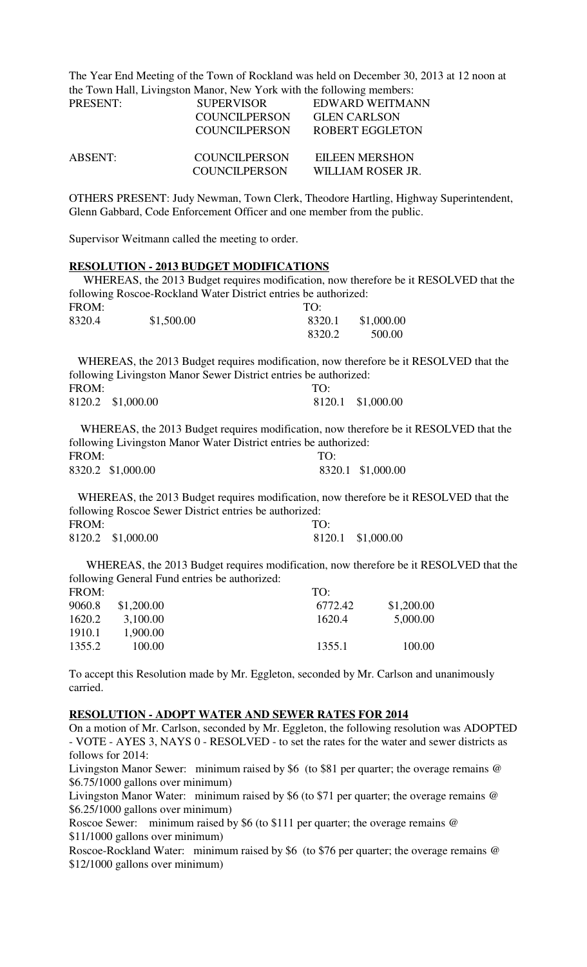The Year End Meeting of the Town of Rockland was held on December 30, 2013 at 12 noon at the Town Hall, Livingston Manor, New York with the following members:

| <b>PRESENT:</b> | <b>SUPERVISOR</b>    | EDWARD WEITMANN     |
|-----------------|----------------------|---------------------|
|                 | <b>COUNCILPERSON</b> | <b>GLEN CARLSON</b> |
|                 | COUNCILPERSON        | ROBERT EGGLETON     |
| ABSENT:         | <b>COUNCILPERSON</b> | EILEEN MERSHON      |
|                 | <b>COUNCILPERSON</b> | WILLIAM ROSER JR.   |

OTHERS PRESENT: Judy Newman, Town Clerk, Theodore Hartling, Highway Superintendent, Glenn Gabbard, Code Enforcement Officer and one member from the public.

Supervisor Weitmann called the meeting to order.

#### **RESOLUTION - 2013 BUDGET MODIFICATIONS**

 WHEREAS, the 2013 Budget requires modification, now therefore be it RESOLVED that the following Roscoe-Rockland Water District entries be authorized:

| FROM:  |            | TO:    |            |
|--------|------------|--------|------------|
| 8320.4 | \$1,500.00 | 8320.1 | \$1,000.00 |
|        |            | 8320.2 | 500.00     |

 WHEREAS, the 2013 Budget requires modification, now therefore be it RESOLVED that the following Livingston Manor Sewer District entries be authorized:

| FROM: |                   | TO: |                   |
|-------|-------------------|-----|-------------------|
|       | 8120.2 \$1,000.00 |     | 8120.1 \$1,000.00 |

 WHEREAS, the 2013 Budget requires modification, now therefore be it RESOLVED that the following Livingston Manor Water District entries be authorized: FROM: TO: 8320.2 \$1,000.00 8320.1 \$1,000.00

 WHEREAS, the 2013 Budget requires modification, now therefore be it RESOLVED that the following Roscoe Sewer District entries be authorized: FROM: TO: 8120.2 \$1,000.00 8120.1 \$1,000.00

 WHEREAS, the 2013 Budget requires modification, now therefore be it RESOLVED that the following General Fund entries be authorized:

| FROM:  |            | TO:     |            |
|--------|------------|---------|------------|
| 9060.8 | \$1,200.00 | 6772.42 | \$1,200.00 |
| 1620.2 | 3,100.00   | 1620.4  | 5,000.00   |
| 1910.1 | 1,900.00   |         |            |
| 1355.2 | 100.00     | 1355.1  | 100.00     |
|        |            |         |            |

To accept this Resolution made by Mr. Eggleton, seconded by Mr. Carlson and unanimously carried.

#### **RESOLUTION - ADOPT WATER AND SEWER RATES FOR 2014**

On a motion of Mr. Carlson, seconded by Mr. Eggleton, the following resolution was ADOPTED - VOTE - AYES 3, NAYS 0 - RESOLVED - to set the rates for the water and sewer districts as follows for 2014:

Livingston Manor Sewer: minimum raised by \$6 (to \$81 per quarter; the overage remains @ \$6.75/1000 gallons over minimum)

Livingston Manor Water: minimum raised by \$6 (to \$71 per quarter; the overage remains @ \$6.25/1000 gallons over minimum)

Roscoe Sewer: minimum raised by \$6 (to \$111 per quarter; the overage remains @ \$11/1000 gallons over minimum)

Roscoe-Rockland Water: minimum raised by \$6 (to \$76 per quarter; the overage remains @ \$12/1000 gallons over minimum)